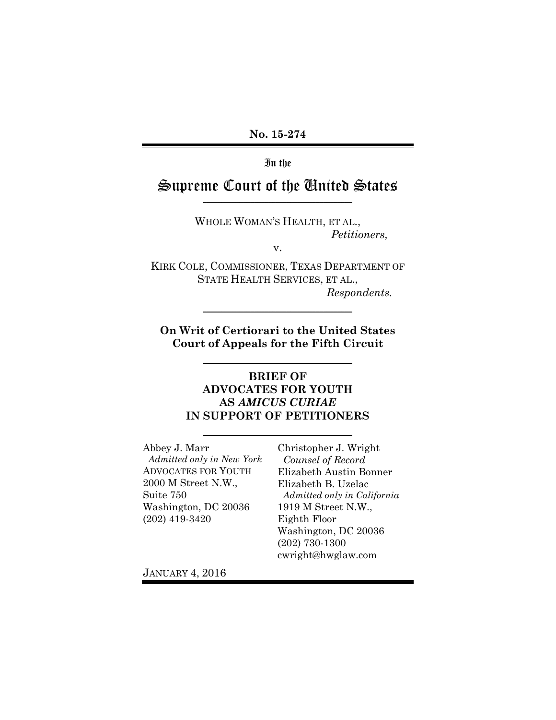**No. 15-274** 

In the

## Supreme Court of the United States \_\_\_\_\_\_\_\_\_\_\_\_\_\_\_\_\_\_\_\_\_\_\_\_\_\_\_\_\_\_\_\_\_\_\_\_\_\_\_\_\_

WHOLE WOMAN'S HEALTH, ET AL., *Petitioners,* 

v.

KIRK COLE, COMMISSIONER, TEXAS DEPARTMENT OF STATE HEALTH SERVICES, ET AL., *Respondents.* 

 $\mathcal{L}_\text{max}$  and  $\mathcal{L}_\text{max}$  and  $\mathcal{L}_\text{max}$  and  $\mathcal{L}_\text{max}$ 

**On Writ of Certiorari to the United States Court of Appeals for the Fifth Circuit** 

 $\mathcal{L}_\mathcal{L}$  , where  $\mathcal{L}_\mathcal{L}$  is the set of the set of the set of the set of the set of the set of the set of the set of the set of the set of the set of the set of the set of the set of the set of the set of the

#### **BRIEF OF ADVOCATES FOR YOUTH AS** *AMICUS CURIAE*  **IN SUPPORT OF PETITIONERS**

\_\_\_\_\_\_\_\_\_\_\_\_\_\_\_\_\_\_\_\_\_\_\_\_\_\_\_\_\_\_\_\_\_\_\_\_\_\_\_\_\_

Abbey J. Marr *Admitted only in New York*  ADVOCATES FOR YOUTH 2000 M Street N.W., Suite 750 Washington, DC 20036 (202) 419-3420

Christopher J. Wright *Counsel of Record*  Elizabeth Austin Bonner Elizabeth B. Uzelac *Admitted only in California*  1919 M Street N.W., Eighth Floor Washington, DC 20036 (202) 730-1300 cwright@hwglaw.com

JANUARY 4, 2016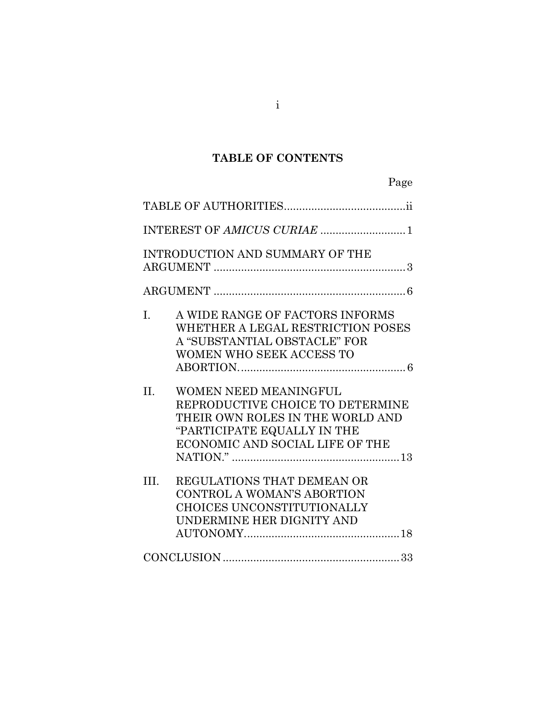# **TABLE OF CONTENTS**

| Page                                                                                                                                                                              |
|-----------------------------------------------------------------------------------------------------------------------------------------------------------------------------------|
|                                                                                                                                                                                   |
| INTEREST OF AMICUS CURIAE  1                                                                                                                                                      |
| INTRODUCTION AND SUMMARY OF THE                                                                                                                                                   |
|                                                                                                                                                                                   |
| A WIDE RANGE OF FACTORS INFORMS<br>L.<br>WHETHER A LEGAL RESTRICTION POSES<br>A "SUBSTANTIAL OBSTACLE" FOR<br>WOMEN WHO SEEK ACCESS TO                                            |
| <b>WOMEN NEED MEANINGFUL</b><br>$\Pi$ .<br>REPRODUCTIVE CHOICE TO DETERMINE<br>THEIR OWN ROLES IN THE WORLD AND<br>"PARTICIPATE EQUALLY IN THE<br>ECONOMIC AND SOCIAL LIFE OF THE |
| III.<br>REGULATIONS THAT DEMEAN OR<br>CONTROL A WOMAN'S ABORTION<br>CHOICES UNCONSTITUTIONALLY<br>UNDERMINE HER DIGNITY AND                                                       |
|                                                                                                                                                                                   |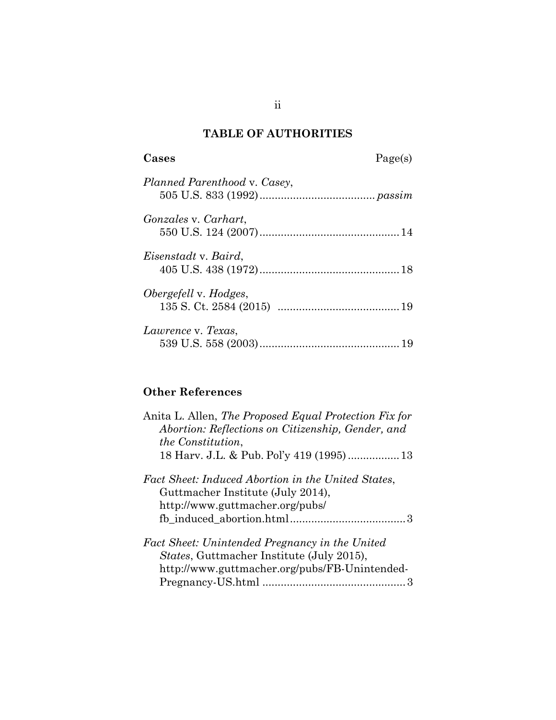# **TABLE OF AUTHORITIES**

**Cases** Page(s)

| Planned Parenthood v. Casey, |  |
|------------------------------|--|
| <i>Gonzales v. Carhart,</i>  |  |
| Eisenstadt v. Baird,         |  |
| Obergefell v. Hodges,        |  |
| Lawrence v. Texas,           |  |

# **Other References**

| Anita L. Allen, <i>The Proposed Equal Protection Fix for</i><br>Abortion: Reflections on Citizenship, Gender, and |
|-------------------------------------------------------------------------------------------------------------------|
| <i>the Constitution.</i>                                                                                          |
|                                                                                                                   |
| Fact Sheet: Induced Abortion in the United States,                                                                |
| Guttmacher Institute (July 2014),                                                                                 |
| http://www.guttmacher.org/pubs/                                                                                   |
|                                                                                                                   |
| Fact Sheet: Unintended Pregnancy in the United                                                                    |
| <i>States</i> , Guttmacher Institute (July 2015),                                                                 |
| http://www.guttmacher.org/pubs/FB-Unintended-                                                                     |
|                                                                                                                   |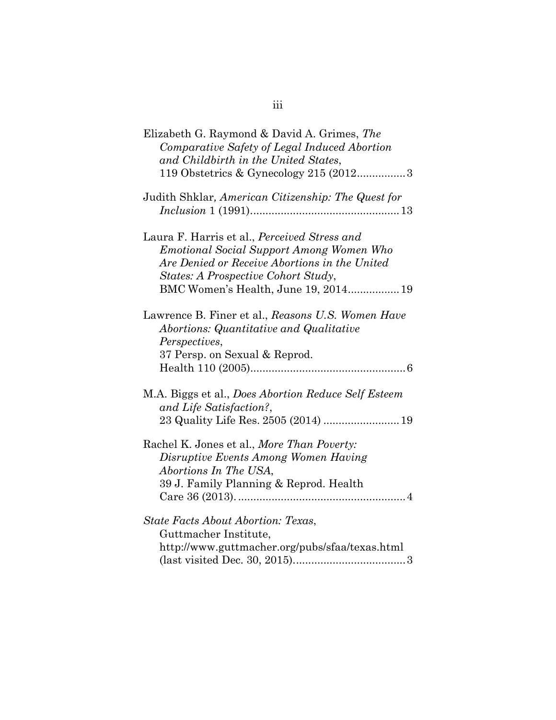| Elizabeth G. Raymond & David A. Grimes, The<br>Comparative Safety of Legal Induced Abortion<br>and Childbirth in the United States,<br>119 Obstetrics & Gynecology 215 (20123                                                   |
|---------------------------------------------------------------------------------------------------------------------------------------------------------------------------------------------------------------------------------|
| Judith Shklar, American Citizenship: The Quest for                                                                                                                                                                              |
| Laura F. Harris et al., Perceived Stress and<br><b>Emotional Social Support Among Women Who</b><br>Are Denied or Receive Abortions in the United<br>States: A Prospective Cohort Study,<br>BMC Women's Health, June 19, 2014 19 |
| Lawrence B. Finer et al., Reasons U.S. Women Have<br>Abortions: Quantitative and Qualitative<br>Perspectives,<br>37 Persp. on Sexual & Reprod.                                                                                  |
| M.A. Biggs et al., Does Abortion Reduce Self Esteem<br>and Life Satisfaction?,<br>23 Quality Life Res. 2505 (2014)  19                                                                                                          |
| Rachel K. Jones et al., More Than Poverty:<br>Disruptive Events Among Women Having<br>Abortions In The USA,<br>39 J. Family Planning & Reprod. Health                                                                           |
| <b>State Facts About Abortion: Texas,</b><br>Guttmacher Institute,<br>http://www.guttmacher.org/pubs/sfaa/texas.html                                                                                                            |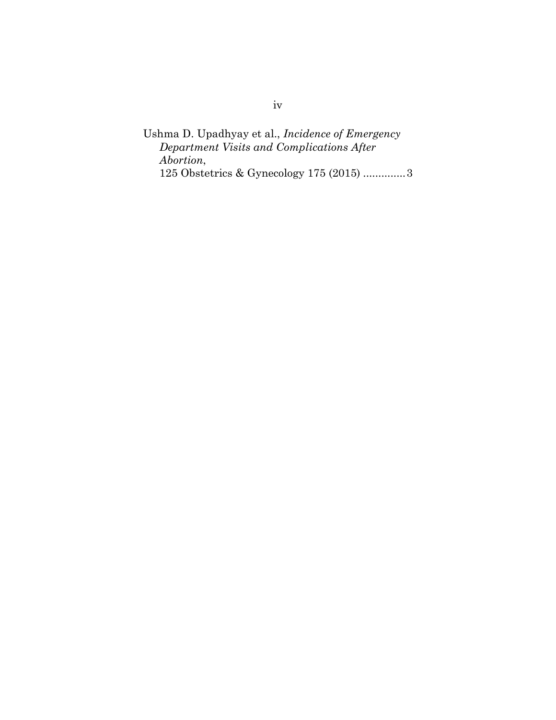Ushma D. Upadhyay et al., *Incidence of Emergency Department Visits and Complications After Abortion*, 125 Obstetrics & Gynecology 175 (2015) .............. 3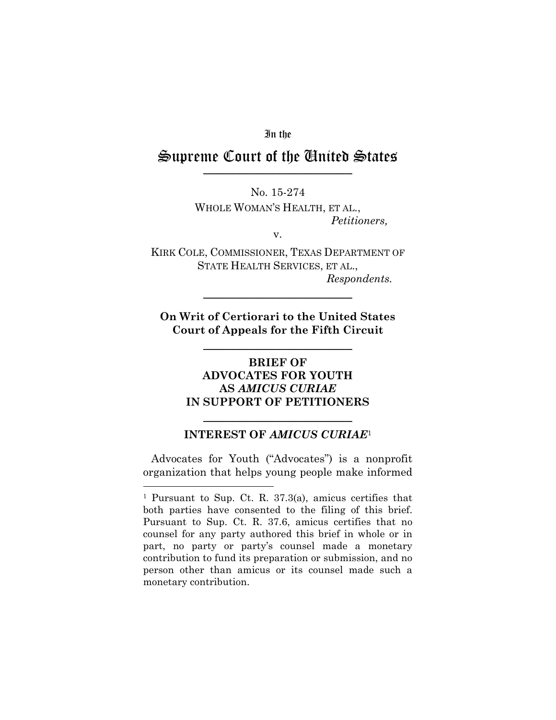In the

#### Supreme Court of the United States \_\_\_\_\_\_\_\_\_\_\_\_\_\_\_\_\_\_\_\_\_\_\_\_\_\_\_\_\_\_\_\_\_\_\_\_\_\_\_\_\_

No. 15-274 WHOLE WOMAN'S HEALTH, ET AL., *Petitioners,* 

v.

KIRK COLE, COMMISSIONER, TEXAS DEPARTMENT OF STATE HEALTH SERVICES, ET AL., *Respondents.* 

**On Writ of Certiorari to the United States Court of Appeals for the Fifth Circuit** 

\_\_\_\_\_\_\_\_\_\_\_\_\_\_\_\_\_\_\_\_\_\_\_\_\_\_\_\_\_\_\_\_\_\_\_\_\_\_\_\_\_

 $\mathcal{L}_\mathcal{L}$  , where  $\mathcal{L}_\mathcal{L}$  is the set of the set of the set of the set of the set of the set of the set of the set of the set of the set of the set of the set of the set of the set of the set of the set of the

## **BRIEF OF ADVOCATES FOR YOUTH AS** *AMICUS CURIAE*  **IN SUPPORT OF PETITIONERS**

## $\overline{\phantom{a}}$  , and the set of the set of the set of the set of the set of the set of the set of the set of the set of the set of the set of the set of the set of the set of the set of the set of the set of the set of the s **INTEREST OF** *AMICUS CURIAE*<sup>1</sup>

 Advocates for Youth ("Advocates") is a nonprofit organization that helps young people make informed

 $\overline{a}$ 

<sup>1</sup> Pursuant to Sup. Ct. R. 37.3(a), amicus certifies that both parties have consented to the filing of this brief. Pursuant to Sup. Ct. R. 37.6, amicus certifies that no counsel for any party authored this brief in whole or in part, no party or party's counsel made a monetary contribution to fund its preparation or submission, and no person other than amicus or its counsel made such a monetary contribution.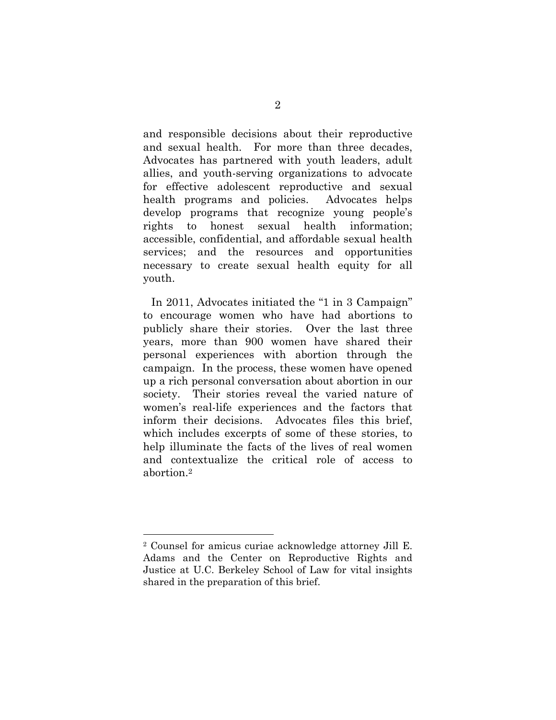and responsible decisions about their reproductive and sexual health. For more than three decades, Advocates has partnered with youth leaders, adult allies, and youth-serving organizations to advocate for effective adolescent reproductive and sexual health programs and policies. Advocates helps develop programs that recognize young people's rights to honest sexual health information; accessible, confidential, and affordable sexual health services; and the resources and opportunities necessary to create sexual health equity for all youth.

 In 2011, Advocates initiated the "1 in 3 Campaign" to encourage women who have had abortions to publicly share their stories. Over the last three years, more than 900 women have shared their personal experiences with abortion through the campaign. In the process, these women have opened up a rich personal conversation about abortion in our society. Their stories reveal the varied nature of women's real-life experiences and the factors that inform their decisions. Advocates files this brief, which includes excerpts of some of these stories, to help illuminate the facts of the lives of real women and contextualize the critical role of access to abortion.2

 $\overline{a}$ 

<sup>2</sup> Counsel for amicus curiae acknowledge attorney Jill E. Adams and the Center on Reproductive Rights and Justice at U.C. Berkeley School of Law for vital insights shared in the preparation of this brief.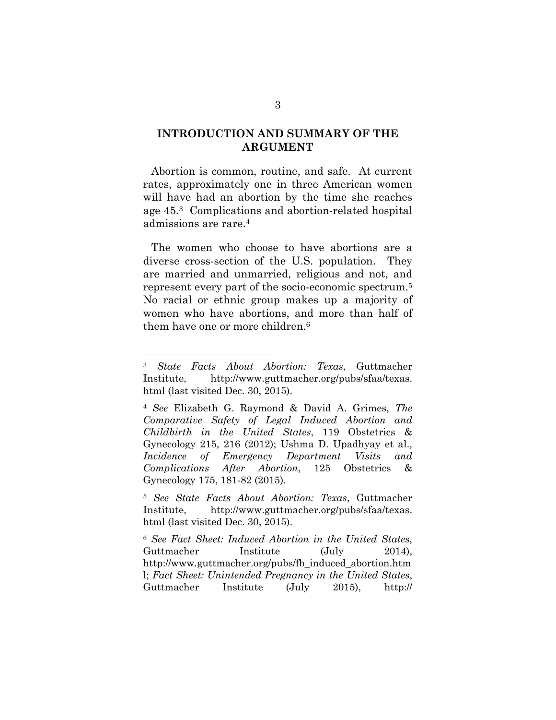#### **INTRODUCTION AND SUMMARY OF THE ARGUMENT**

Abortion is common, routine, and safe. At current rates, approximately one in three American women will have had an abortion by the time she reaches age 45.3 Complications and abortion-related hospital admissions are rare.4

 The women who choose to have abortions are a diverse cross-section of the U.S. population. They are married and unmarried, religious and not, and represent every part of the socio-economic spectrum.5 No racial or ethnic group makes up a majority of women who have abortions, and more than half of them have one or more children.6

 $\overline{a}$ 

<sup>5</sup> *See State Facts About Abortion: Texas*, Guttmacher Institute, http://www.guttmacher.org/pubs/sfaa/texas. html (last visited Dec. 30, 2015).

<sup>6</sup> *See Fact Sheet: Induced Abortion in the United States*, Guttmacher Institute (July 2014), http://www.guttmacher.org/pubs/fb\_induced\_abortion.htm l; *Fact Sheet: Unintended Pregnancy in the United States*, Guttmacher Institute (July 2015), http://

<sup>3</sup> *State Facts About Abortion: Texas*, Guttmacher Institute, http://www.guttmacher.org/pubs/sfaa/texas. html (last visited Dec. 30, 2015).

<sup>4</sup> *See* Elizabeth G. Raymond & David A. Grimes, *The Comparative Safety of Legal Induced Abortion and Childbirth in the United States*, 119 Obstetrics & Gynecology 215, 216 (2012); Ushma D. Upadhyay et al., *Incidence of Emergency Department Visits and Complications After Abortion*, 125 Obstetrics & Gynecology 175, 181-82 (2015).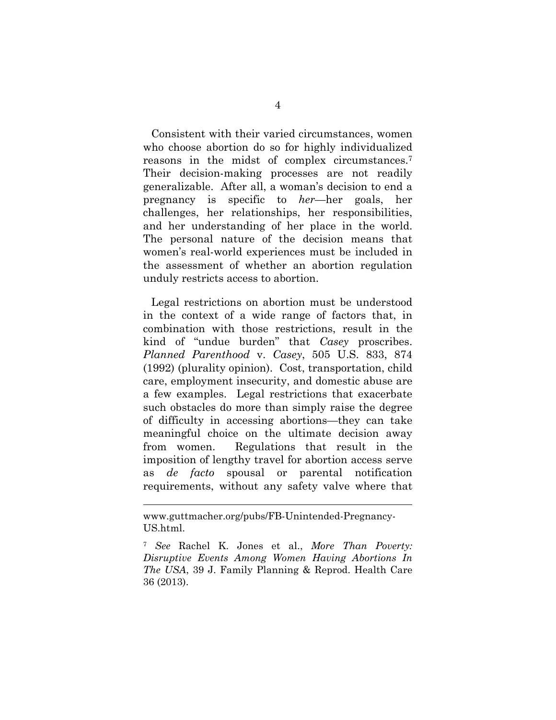Consistent with their varied circumstances, women who choose abortion do so for highly individualized reasons in the midst of complex circumstances.7 Their decision-making processes are not readily generalizable. After all, a woman's decision to end a pregnancy is specific to *her*—her goals, her challenges, her relationships, her responsibilities, and her understanding of her place in the world. The personal nature of the decision means that women's real-world experiences must be included in the assessment of whether an abortion regulation unduly restricts access to abortion.

 Legal restrictions on abortion must be understood in the context of a wide range of factors that, in combination with those restrictions, result in the kind of "undue burden" that *Casey* proscribes. *Planned Parenthood* v. *Casey*, 505 U.S. 833, 874 (1992) (plurality opinion). Cost, transportation, child care, employment insecurity, and domestic abuse are a few examples. Legal restrictions that exacerbate such obstacles do more than simply raise the degree of difficulty in accessing abortions—they can take meaningful choice on the ultimate decision away from women. Regulations that result in the imposition of lengthy travel for abortion access serve as *de facto* spousal or parental notification requirements, without any safety valve where that

 $\overline{a}$ 

www.guttmacher.org/pubs/FB-Unintended-Pregnancy-US.html.

<sup>7</sup> *See* Rachel K. Jones et al., *More Than Poverty: Disruptive Events Among Women Having Abortions In The USA*, 39 J. Family Planning & Reprod. Health Care 36 (2013).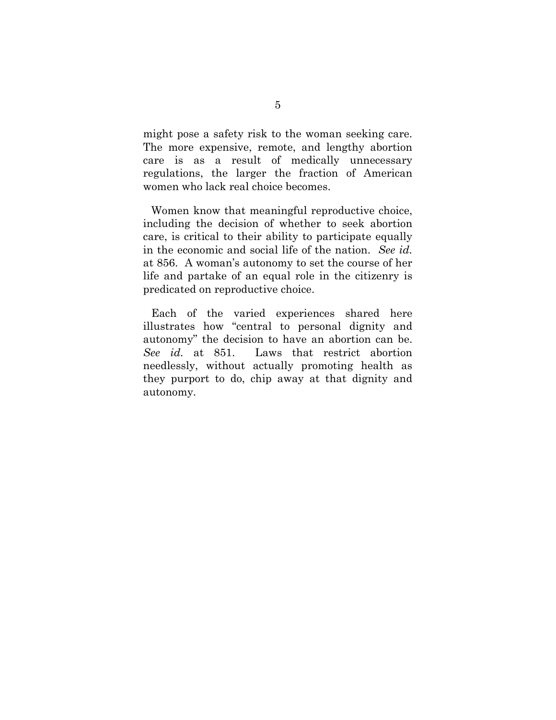might pose a safety risk to the woman seeking care. The more expensive, remote, and lengthy abortion care is as a result of medically unnecessary regulations, the larger the fraction of American women who lack real choice becomes.

 Women know that meaningful reproductive choice, including the decision of whether to seek abortion care, is critical to their ability to participate equally in the economic and social life of the nation. *See id.* at 856. A woman's autonomy to set the course of her life and partake of an equal role in the citizenry is predicated on reproductive choice.

 Each of the varied experiences shared here illustrates how "central to personal dignity and autonomy" the decision to have an abortion can be. *See id.* at 851. Laws that restrict abortion needlessly, without actually promoting health as they purport to do, chip away at that dignity and autonomy.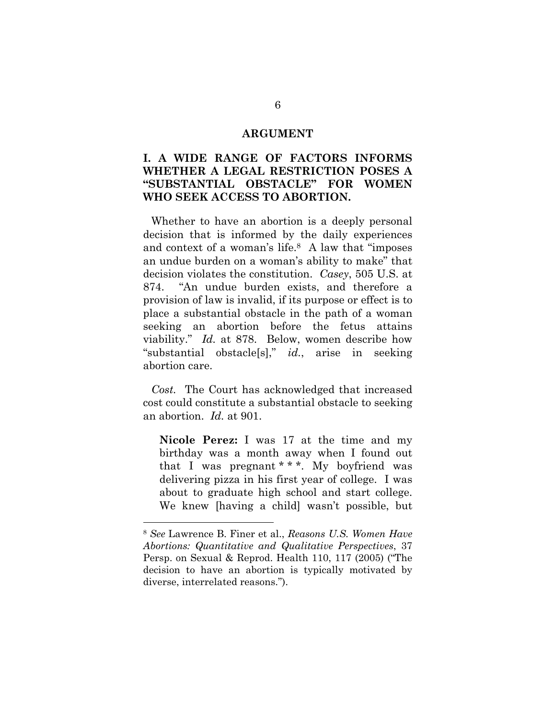#### **ARGUMENT**

## **I. A WIDE RANGE OF FACTORS INFORMS WHETHER A LEGAL RESTRICTION POSES A "SUBSTANTIAL OBSTACLE" FOR WOMEN WHO SEEK ACCESS TO ABORTION.**

 Whether to have an abortion is a deeply personal decision that is informed by the daily experiences and context of a woman's life.8 A law that "imposes an undue burden on a woman's ability to make" that decision violates the constitution. *Casey*, 505 U.S. at 874. "An undue burden exists, and therefore a provision of law is invalid, if its purpose or effect is to place a substantial obstacle in the path of a woman seeking an abortion before the fetus attains viability." *Id.* at 878. Below, women describe how "substantial obstacle[s]," *id.*, arise in seeking abortion care.

*Cost.* The Court has acknowledged that increased cost could constitute a substantial obstacle to seeking an abortion. *Id.* at 901.

**Nicole Perez:** I was 17 at the time and my birthday was a month away when I found out that I was pregnant \* \* \*. My boyfriend was delivering pizza in his first year of college. I was about to graduate high school and start college. We knew [having a child] wasn't possible, but

 $\overline{a}$ 

<sup>8</sup> *See* Lawrence B. Finer et al., *Reasons U.S. Women Have Abortions: Quantitative and Qualitative Perspectives*, 37 Persp. on Sexual & Reprod. Health 110, 117 (2005) ("The decision to have an abortion is typically motivated by diverse, interrelated reasons.").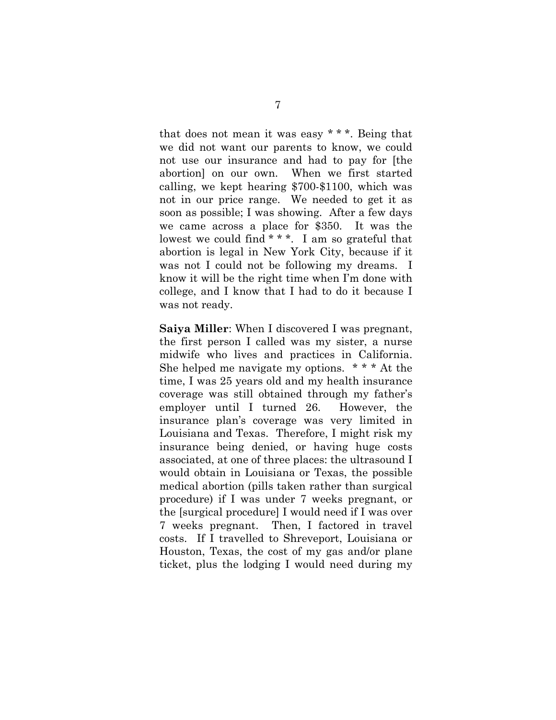that does not mean it was easy \* \* \*. Being that we did not want our parents to know, we could not use our insurance and had to pay for [the abortion] on our own. When we first started calling, we kept hearing \$700-\$1100, which was not in our price range. We needed to get it as soon as possible; I was showing. After a few days we came across a place for \$350. It was the lowest we could find \* \* \*. I am so grateful that abortion is legal in New York City, because if it was not I could not be following my dreams. I know it will be the right time when I'm done with college, and I know that I had to do it because I was not ready.

**Saiya Miller**: When I discovered I was pregnant, the first person I called was my sister, a nurse midwife who lives and practices in California. She helped me navigate my options. \* \* \* At the time, I was 25 years old and my health insurance coverage was still obtained through my father's employer until I turned 26. However, the insurance plan's coverage was very limited in Louisiana and Texas. Therefore, I might risk my insurance being denied, or having huge costs associated, at one of three places: the ultrasound I would obtain in Louisiana or Texas, the possible medical abortion (pills taken rather than surgical procedure) if I was under 7 weeks pregnant, or the [surgical procedure] I would need if I was over 7 weeks pregnant. Then, I factored in travel costs. If I travelled to Shreveport, Louisiana or Houston, Texas, the cost of my gas and/or plane ticket, plus the lodging I would need during my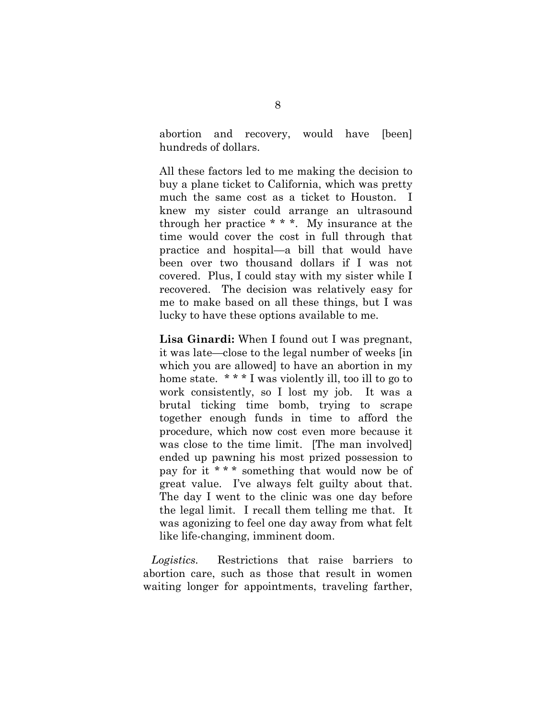abortion and recovery, would have [been] hundreds of dollars.

All these factors led to me making the decision to buy a plane ticket to California, which was pretty much the same cost as a ticket to Houston. I knew my sister could arrange an ultrasound through her practice \* \* \*. My insurance at the time would cover the cost in full through that practice and hospital—a bill that would have been over two thousand dollars if I was not covered. Plus, I could stay with my sister while I recovered. The decision was relatively easy for me to make based on all these things, but I was lucky to have these options available to me.

**Lisa Ginardi:** When I found out I was pregnant, it was late—close to the legal number of weeks [in which you are allowed] to have an abortion in my home state. \* \* \* I was violently ill, too ill to go to work consistently, so I lost my job. It was a brutal ticking time bomb, trying to scrape together enough funds in time to afford the procedure, which now cost even more because it was close to the time limit. [The man involved] ended up pawning his most prized possession to pay for it \* \* \* something that would now be of great value. I've always felt guilty about that. The day I went to the clinic was one day before the legal limit. I recall them telling me that. It was agonizing to feel one day away from what felt like life-changing, imminent doom.

*Logistics.* Restrictions that raise barriers to abortion care, such as those that result in women waiting longer for appointments, traveling farther,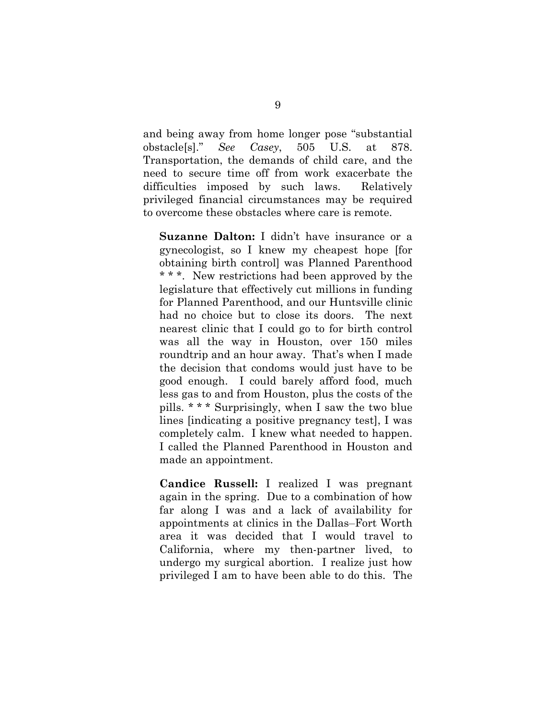and being away from home longer pose "substantial obstacle[s]." *See Casey*, 505 U.S. at 878. Transportation, the demands of child care, and the need to secure time off from work exacerbate the difficulties imposed by such laws. Relatively privileged financial circumstances may be required to overcome these obstacles where care is remote.

**Suzanne Dalton:** I didn't have insurance or a gynecologist, so I knew my cheapest hope [for obtaining birth control] was Planned Parenthood \* \* \*. New restrictions had been approved by the legislature that effectively cut millions in funding for Planned Parenthood, and our Huntsville clinic had no choice but to close its doors. The next nearest clinic that I could go to for birth control was all the way in Houston, over 150 miles roundtrip and an hour away. That's when I made the decision that condoms would just have to be good enough. I could barely afford food, much less gas to and from Houston, plus the costs of the pills. \* \* \* Surprisingly, when I saw the two blue lines [indicating a positive pregnancy test], I was completely calm. I knew what needed to happen. I called the Planned Parenthood in Houston and made an appointment.

**Candice Russell:** I realized I was pregnant again in the spring. Due to a combination of how far along I was and a lack of availability for appointments at clinics in the Dallas–Fort Worth area it was decided that I would travel to California, where my then-partner lived, to undergo my surgical abortion. I realize just how privileged I am to have been able to do this. The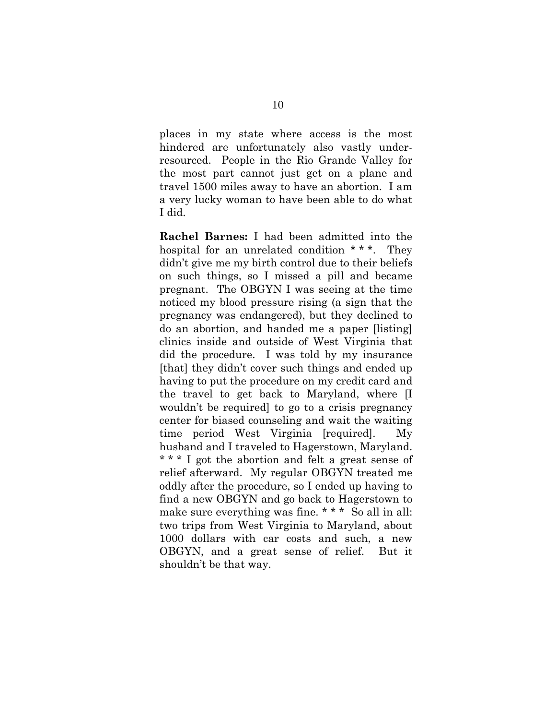places in my state where access is the most hindered are unfortunately also vastly underresourced. People in the Rio Grande Valley for the most part cannot just get on a plane and travel 1500 miles away to have an abortion. I am a very lucky woman to have been able to do what I did.

**Rachel Barnes:** I had been admitted into the hospital for an unrelated condition \* \* \*. They didn't give me my birth control due to their beliefs on such things, so I missed a pill and became pregnant. The OBGYN I was seeing at the time noticed my blood pressure rising (a sign that the pregnancy was endangered), but they declined to do an abortion, and handed me a paper [listing] clinics inside and outside of West Virginia that did the procedure. I was told by my insurance [that] they didn't cover such things and ended up having to put the procedure on my credit card and the travel to get back to Maryland, where [I wouldn't be required] to go to a crisis pregnancy center for biased counseling and wait the waiting time period West Virginia [required]. My husband and I traveled to Hagerstown, Maryland. \* \* \* I got the abortion and felt a great sense of relief afterward. My regular OBGYN treated me oddly after the procedure, so I ended up having to find a new OBGYN and go back to Hagerstown to make sure everything was fine. \* \* \* So all in all: two trips from West Virginia to Maryland, about 1000 dollars with car costs and such, a new OBGYN, and a great sense of relief. But it shouldn't be that way.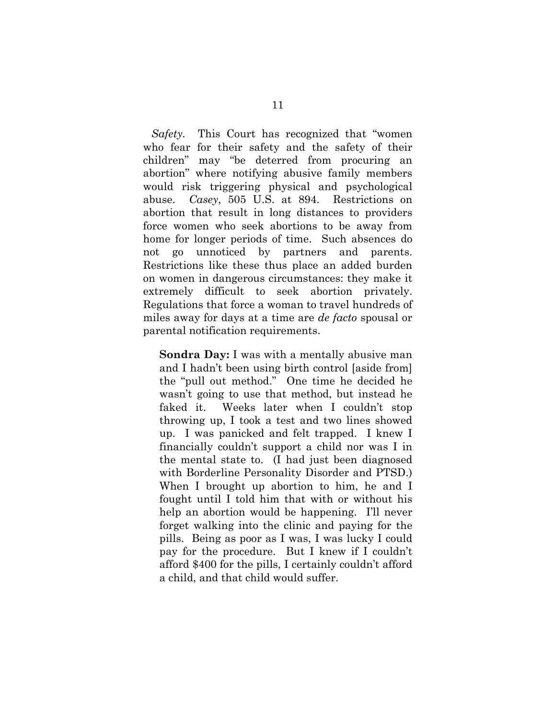*Safety.* This Court has recognized that "women who fear for their safety and the safety of their children" may "be deterred from procuring an abortion" where notifying abusive family members would risk triggering physical and psychological abuse. *Casey*, 505 U.S. at 894. Restrictions on abortion that result in long distances to providers force women who seek abortions to be away from home for longer periods of time. Such absences do not go unnoticed by partners and parents. Restrictions like these thus place an added burden on women in dangerous circumstances: they make it extremely difficult to seek abortion privately. Regulations that force a woman to travel hundreds of miles away for days at a time are *de facto* spousal or parental notification requirements.

**Sondra Day:** I was with a mentally abusive man and I hadn't been using birth control [aside from] the "pull out method." One time he decided he wasn't going to use that method, but instead he faked it. Weeks later when I couldn't stop throwing up, I took a test and two lines showed up. I was panicked and felt trapped. I knew I financially couldn't support a child nor was I in the mental state to. (I had just been diagnosed with Borderline Personality Disorder and PTSD.) When I brought up abortion to him, he and I fought until I told him that with or without his help an abortion would be happening. I'll never forget walking into the clinic and paying for the pills. Being as poor as I was, I was lucky I could pay for the procedure. But I knew if I couldn't afford \$400 for the pills, I certainly couldn't afford a child, and that child would suffer.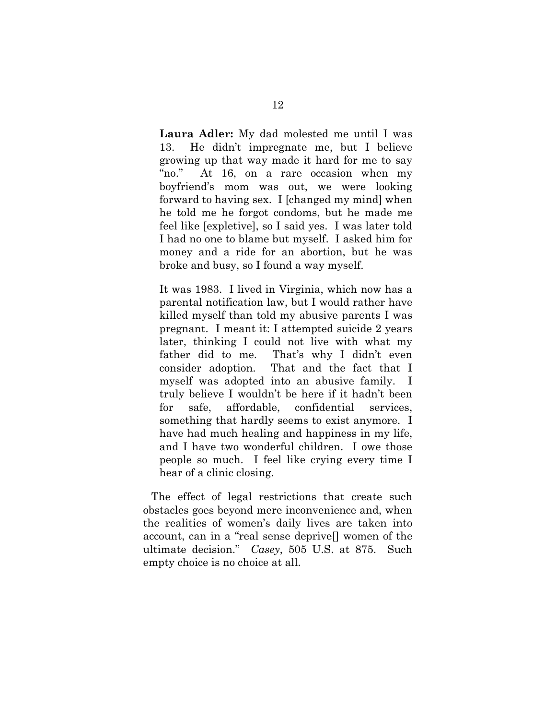**Laura Adler:** My dad molested me until I was 13. He didn't impregnate me, but I believe growing up that way made it hard for me to say "no." At 16, on a rare occasion when my boyfriend's mom was out, we were looking forward to having sex. I [changed my mind] when he told me he forgot condoms, but he made me feel like [expletive], so I said yes. I was later told I had no one to blame but myself. I asked him for money and a ride for an abortion, but he was broke and busy, so I found a way myself.

It was 1983. I lived in Virginia, which now has a parental notification law, but I would rather have killed myself than told my abusive parents I was pregnant. I meant it: I attempted suicide 2 years later, thinking I could not live with what my father did to me. That's why I didn't even consider adoption. That and the fact that I myself was adopted into an abusive family. I truly believe I wouldn't be here if it hadn't been for safe, affordable, confidential services, something that hardly seems to exist anymore. I have had much healing and happiness in my life, and I have two wonderful children. I owe those people so much. I feel like crying every time I hear of a clinic closing.

 The effect of legal restrictions that create such obstacles goes beyond mere inconvenience and, when the realities of women's daily lives are taken into account, can in a "real sense deprive[] women of the ultimate decision." *Casey*, 505 U.S. at 875. Such empty choice is no choice at all.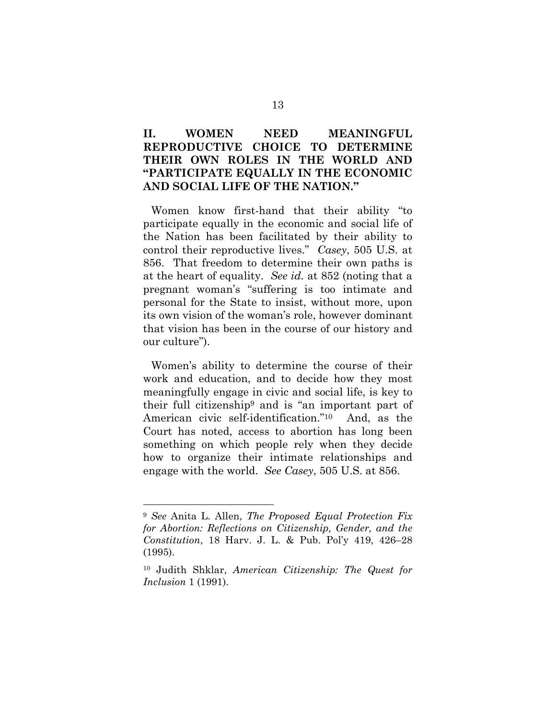## **II. WOMEN NEED MEANINGFUL REPRODUCTIVE CHOICE TO DETERMINE THEIR OWN ROLES IN THE WORLD AND "PARTICIPATE EQUALLY IN THE ECONOMIC AND SOCIAL LIFE OF THE NATION."**

 Women know first-hand that their ability "to participate equally in the economic and social life of the Nation has been facilitated by their ability to control their reproductive lives." *Casey*, 505 U.S. at 856. That freedom to determine their own paths is at the heart of equality. *See id.* at 852 (noting that a pregnant woman's "suffering is too intimate and personal for the State to insist, without more, upon its own vision of the woman's role, however dominant that vision has been in the course of our history and our culture").

 Women's ability to determine the course of their work and education, and to decide how they most meaningfully engage in civic and social life, is key to their full citizenship9 and is "an important part of American civic self-identification."10 And, as the Court has noted, access to abortion has long been something on which people rely when they decide how to organize their intimate relationships and engage with the world. *See Casey*, 505 U.S. at 856.

 $\overline{a}$ 

<sup>9</sup> *See* Anita L. Allen, *The Proposed Equal Protection Fix for Abortion: Reflections on Citizenship, Gender, and the Constitution*, 18 Harv. J. L. & Pub. Pol'y 419, 426–28 (1995).

<sup>10</sup> Judith Shklar, *American Citizenship: The Quest for Inclusion* 1 (1991).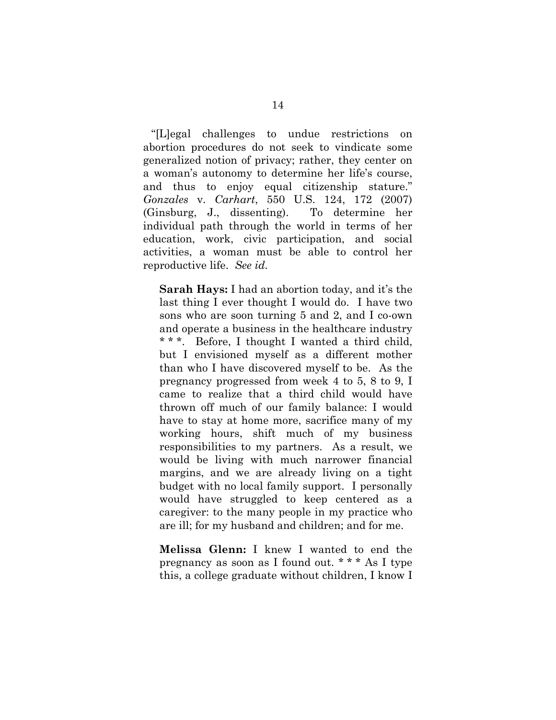"[L]egal challenges to undue restrictions on abortion procedures do not seek to vindicate some generalized notion of privacy; rather, they center on a woman's autonomy to determine her life's course, and thus to enjoy equal citizenship stature." *Gonzales* v. *Carhart*, 550 U.S. 124, 172 (2007) (Ginsburg, J., dissenting). To determine her individual path through the world in terms of her education, work, civic participation, and social activities, a woman must be able to control her reproductive life. *See id.*

**Sarah Hays:** I had an abortion today, and it's the last thing I ever thought I would do. I have two sons who are soon turning 5 and 2, and I co-own and operate a business in the healthcare industry \* \* \*. Before, I thought I wanted a third child, but I envisioned myself as a different mother than who I have discovered myself to be. As the pregnancy progressed from week 4 to 5, 8 to 9, I came to realize that a third child would have thrown off much of our family balance: I would have to stay at home more, sacrifice many of my working hours, shift much of my business responsibilities to my partners. As a result, we would be living with much narrower financial margins, and we are already living on a tight budget with no local family support. I personally would have struggled to keep centered as a caregiver: to the many people in my practice who are ill; for my husband and children; and for me.

**Melissa Glenn:** I knew I wanted to end the pregnancy as soon as I found out. \* \* \* As I type this, a college graduate without children, I know I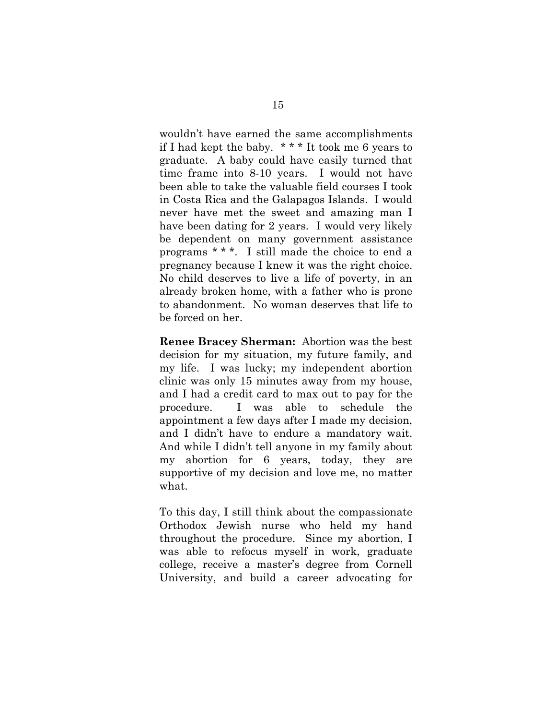wouldn't have earned the same accomplishments if I had kept the baby. \* \* \* It took me 6 years to graduate. A baby could have easily turned that time frame into 8-10 years. I would not have been able to take the valuable field courses I took in Costa Rica and the Galapagos Islands. I would never have met the sweet and amazing man I have been dating for 2 years. I would very likely be dependent on many government assistance programs \* \* \*. I still made the choice to end a pregnancy because I knew it was the right choice. No child deserves to live a life of poverty, in an already broken home, with a father who is prone to abandonment. No woman deserves that life to be forced on her.

**Renee Bracey Sherman:** Abortion was the best decision for my situation, my future family, and my life. I was lucky; my independent abortion clinic was only 15 minutes away from my house, and I had a credit card to max out to pay for the procedure. I was able to schedule the appointment a few days after I made my decision, and I didn't have to endure a mandatory wait. And while I didn't tell anyone in my family about my abortion for 6 years, today, they are supportive of my decision and love me, no matter what.

To this day, I still think about the compassionate Orthodox Jewish nurse who held my hand throughout the procedure. Since my abortion, I was able to refocus myself in work, graduate college, receive a master's degree from Cornell University, and build a career advocating for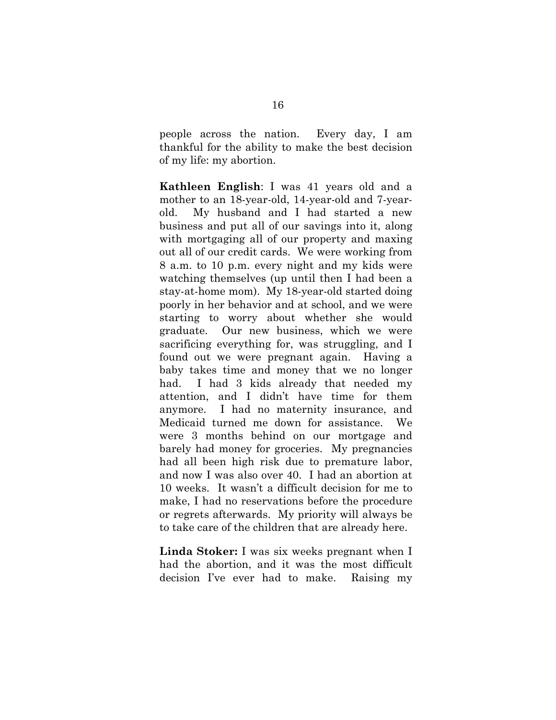people across the nation. Every day, I am thankful for the ability to make the best decision of my life: my abortion.

**Kathleen English**: I was 41 years old and a mother to an 18-year-old, 14-year-old and 7-yearold. My husband and I had started a new business and put all of our savings into it, along with mortgaging all of our property and maxing out all of our credit cards. We were working from 8 a.m. to 10 p.m. every night and my kids were watching themselves (up until then I had been a stay-at-home mom). My 18-year-old started doing poorly in her behavior and at school, and we were starting to worry about whether she would graduate. Our new business, which we were sacrificing everything for, was struggling, and I found out we were pregnant again. Having a baby takes time and money that we no longer had. I had 3 kids already that needed my attention, and I didn't have time for them anymore. I had no maternity insurance, and Medicaid turned me down for assistance. We were 3 months behind on our mortgage and barely had money for groceries. My pregnancies had all been high risk due to premature labor, and now I was also over 40. I had an abortion at 10 weeks. It wasn't a difficult decision for me to make, I had no reservations before the procedure or regrets afterwards. My priority will always be to take care of the children that are already here.

**Linda Stoker:** I was six weeks pregnant when I had the abortion, and it was the most difficult decision I've ever had to make. Raising my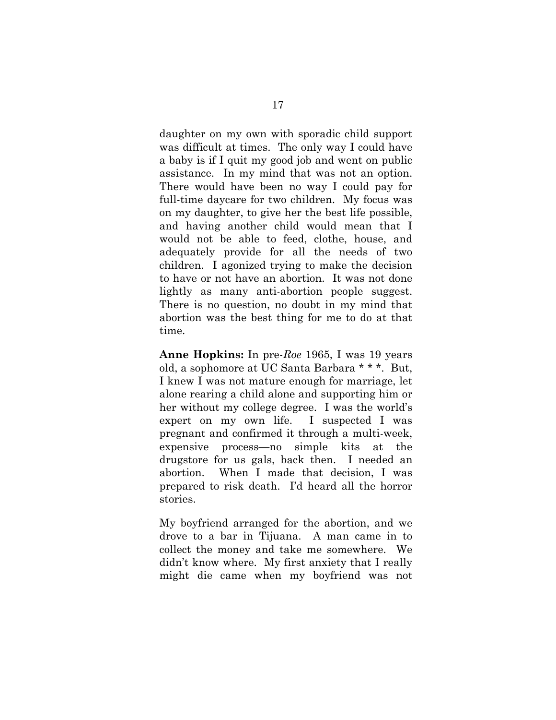daughter on my own with sporadic child support was difficult at times. The only way I could have a baby is if I quit my good job and went on public assistance. In my mind that was not an option. There would have been no way I could pay for full-time daycare for two children. My focus was on my daughter, to give her the best life possible, and having another child would mean that I would not be able to feed, clothe, house, and adequately provide for all the needs of two children. I agonized trying to make the decision to have or not have an abortion. It was not done lightly as many anti-abortion people suggest. There is no question, no doubt in my mind that abortion was the best thing for me to do at that time.

**Anne Hopkins:** In pre-*Roe* 1965, I was 19 years old, a sophomore at UC Santa Barbara \* \* \*. But, I knew I was not mature enough for marriage, let alone rearing a child alone and supporting him or her without my college degree. I was the world's expert on my own life. I suspected I was pregnant and confirmed it through a multi-week, expensive process—no simple kits at the drugstore for us gals, back then. I needed an abortion. When I made that decision, I was prepared to risk death. I'd heard all the horror stories.

My boyfriend arranged for the abortion, and we drove to a bar in Tijuana. A man came in to collect the money and take me somewhere. We didn't know where. My first anxiety that I really might die came when my boyfriend was not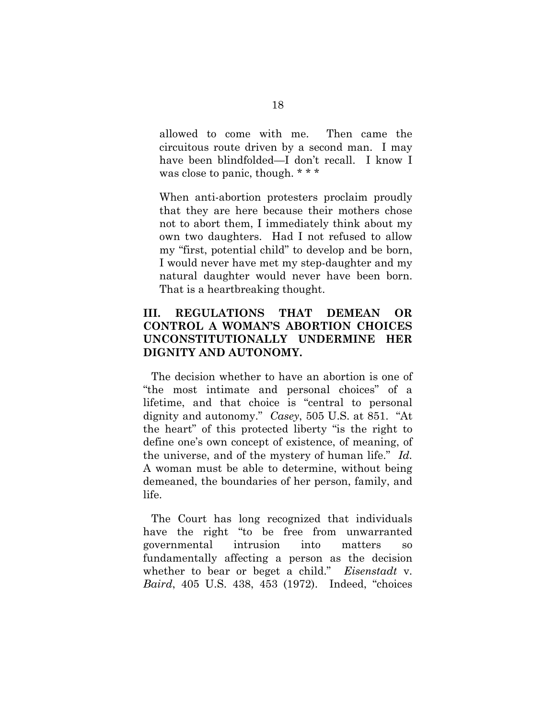allowed to come with me. Then came the circuitous route driven by a second man. I may have been blindfolded—I don't recall. I know I was close to panic, though. \* \* \*

When anti-abortion protesters proclaim proudly that they are here because their mothers chose not to abort them, I immediately think about my own two daughters. Had I not refused to allow my "first, potential child" to develop and be born, I would never have met my step-daughter and my natural daughter would never have been born. That is a heartbreaking thought.

#### **III. REGULATIONS THAT DEMEAN OR CONTROL A WOMAN'S ABORTION CHOICES UNCONSTITUTIONALLY UNDERMINE HER DIGNITY AND AUTONOMY.**

 The decision whether to have an abortion is one of "the most intimate and personal choices" of a lifetime, and that choice is "central to personal dignity and autonomy." *Casey*, 505 U.S. at 851. "At the heart" of this protected liberty "is the right to define one's own concept of existence, of meaning, of the universe, and of the mystery of human life." *Id.*  A woman must be able to determine, without being demeaned, the boundaries of her person, family, and life.

 The Court has long recognized that individuals have the right "to be free from unwarranted governmental intrusion into matters so fundamentally affecting a person as the decision whether to bear or beget a child." *Eisenstadt* v. *Baird*, 405 U.S. 438, 453 (1972). Indeed, "choices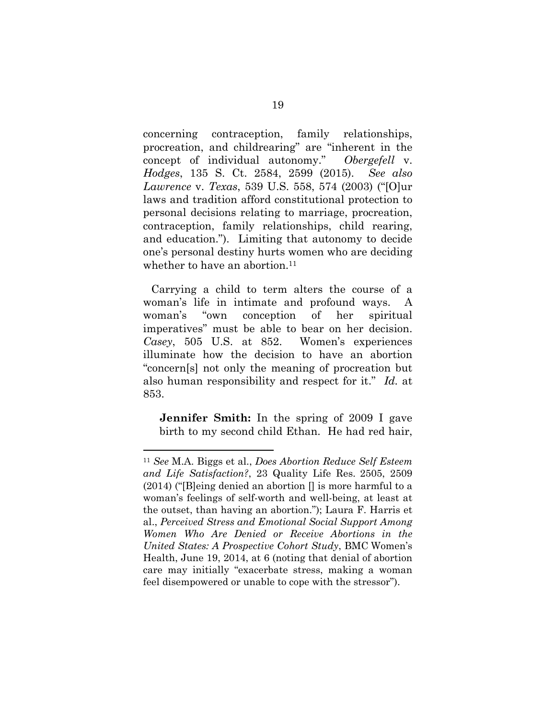concerning contraception, family relationships, procreation, and childrearing" are "inherent in the concept of individual autonomy." *Obergefell* v. *Hodges*, 135 S. Ct. 2584, 2599 (2015). *See also Lawrence* v. *Texas*, 539 U.S. 558, 574 (2003) ("[O]ur laws and tradition afford constitutional protection to personal decisions relating to marriage, procreation, contraception, family relationships, child rearing, and education."). Limiting that autonomy to decide one's personal destiny hurts women who are deciding whether to have an abortion.<sup>11</sup>

 Carrying a child to term alters the course of a woman's life in intimate and profound ways. A woman's "own conception of her spiritual imperatives" must be able to bear on her decision. *Casey*, 505 U.S. at 852. Women's experiences illuminate how the decision to have an abortion "concern[s] not only the meaning of procreation but also human responsibility and respect for it." *Id.* at 853.

**Jennifer Smith:** In the spring of 2009 I gave birth to my second child Ethan. He had red hair,

 $\overline{a}$ 

<sup>11</sup> *See* M.A. Biggs et al., *Does Abortion Reduce Self Esteem and Life Satisfaction?*, 23 Quality Life Res. 2505, 2509  $(2014)$  ("[B]eing denied an abortion  $\theta$  is more harmful to a woman's feelings of self-worth and well-being, at least at the outset, than having an abortion."); Laura F. Harris et al., *Perceived Stress and Emotional Social Support Among Women Who Are Denied or Receive Abortions in the United States: A Prospective Cohort Study*, BMC Women's Health, June 19, 2014, at 6 (noting that denial of abortion care may initially "exacerbate stress, making a woman feel disempowered or unable to cope with the stressor").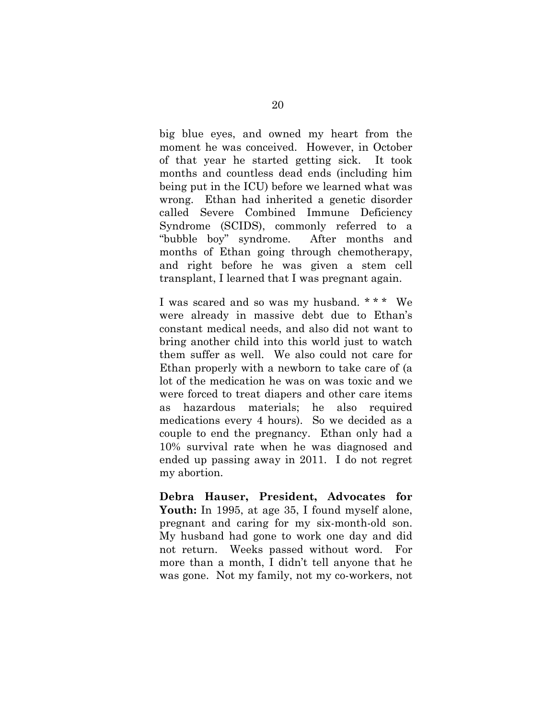big blue eyes, and owned my heart from the moment he was conceived. However, in October of that year he started getting sick. It took months and countless dead ends (including him being put in the ICU) before we learned what was wrong. Ethan had inherited a genetic disorder called Severe Combined Immune Deficiency Syndrome (SCIDS), commonly referred to a "bubble boy" syndrome. After months and months of Ethan going through chemotherapy, and right before he was given a stem cell transplant, I learned that I was pregnant again.

I was scared and so was my husband. \* \* \* We were already in massive debt due to Ethan's constant medical needs, and also did not want to bring another child into this world just to watch them suffer as well. We also could not care for Ethan properly with a newborn to take care of (a lot of the medication he was on was toxic and we were forced to treat diapers and other care items as hazardous materials; he also required medications every 4 hours). So we decided as a couple to end the pregnancy. Ethan only had a 10% survival rate when he was diagnosed and ended up passing away in 2011. I do not regret my abortion.

**Debra Hauser, President, Advocates for**  Youth: In 1995, at age 35, I found myself alone, pregnant and caring for my six-month-old son. My husband had gone to work one day and did not return. Weeks passed without word. For more than a month, I didn't tell anyone that he was gone. Not my family, not my co-workers, not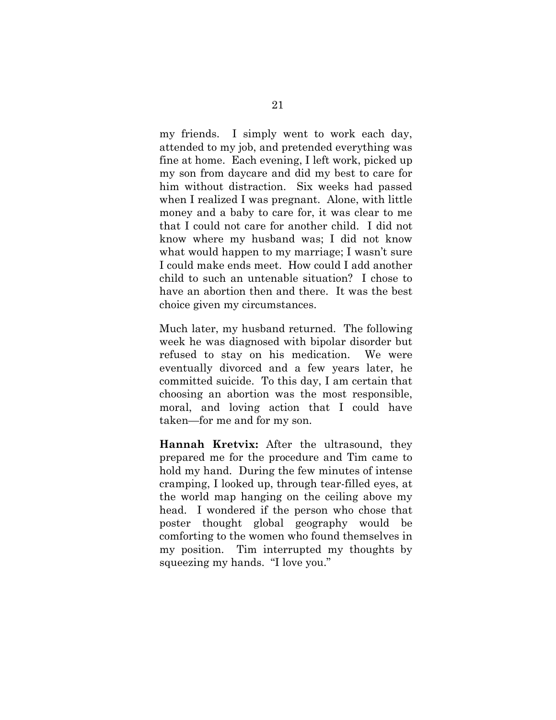my friends. I simply went to work each day, attended to my job, and pretended everything was fine at home. Each evening, I left work, picked up my son from daycare and did my best to care for him without distraction. Six weeks had passed when I realized I was pregnant. Alone, with little money and a baby to care for, it was clear to me that I could not care for another child. I did not know where my husband was; I did not know what would happen to my marriage; I wasn't sure I could make ends meet. How could I add another child to such an untenable situation? I chose to have an abortion then and there. It was the best choice given my circumstances.

Much later, my husband returned. The following week he was diagnosed with bipolar disorder but refused to stay on his medication. We were eventually divorced and a few years later, he committed suicide. To this day, I am certain that choosing an abortion was the most responsible, moral, and loving action that I could have taken—for me and for my son.

**Hannah Kretvix:** After the ultrasound, they prepared me for the procedure and Tim came to hold my hand. During the few minutes of intense cramping, I looked up, through tear-filled eyes, at the world map hanging on the ceiling above my head. I wondered if the person who chose that poster thought global geography would be comforting to the women who found themselves in my position. Tim interrupted my thoughts by squeezing my hands. "I love you."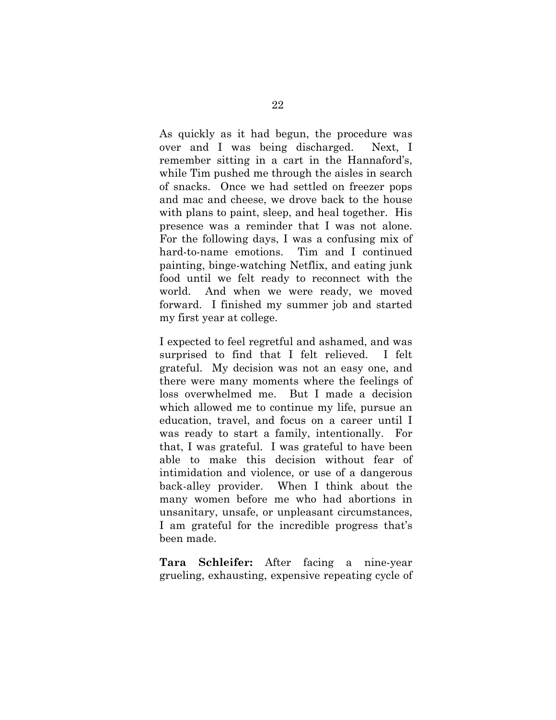As quickly as it had begun, the procedure was over and I was being discharged. Next, I remember sitting in a cart in the Hannaford's, while Tim pushed me through the aisles in search of snacks. Once we had settled on freezer pops and mac and cheese, we drove back to the house with plans to paint, sleep, and heal together. His presence was a reminder that I was not alone. For the following days, I was a confusing mix of hard-to-name emotions. Tim and I continued painting, binge-watching Netflix, and eating junk food until we felt ready to reconnect with the world. And when we were ready, we moved forward. I finished my summer job and started my first year at college.

I expected to feel regretful and ashamed, and was surprised to find that I felt relieved. I felt grateful. My decision was not an easy one, and there were many moments where the feelings of loss overwhelmed me. But I made a decision which allowed me to continue my life, pursue an education, travel, and focus on a career until I was ready to start a family, intentionally. For that, I was grateful. I was grateful to have been able to make this decision without fear of intimidation and violence, or use of a dangerous back-alley provider. When I think about the many women before me who had abortions in unsanitary, unsafe, or unpleasant circumstances, I am grateful for the incredible progress that's been made.

**Tara Schleifer:** After facing a nine-year grueling, exhausting, expensive repeating cycle of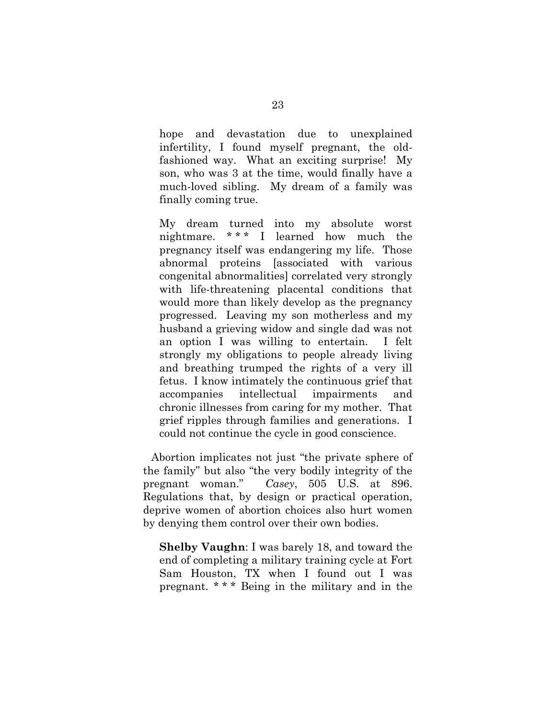hope and devastation due to unexplained infertility, I found myself pregnant, the oldfashioned way. What an exciting surprise! My son, who was 3 at the time, would finally have a much-loved sibling. My dream of a family was finally coming true.

My dream turned into my absolute worst nightmare. \* \* \* I learned how much the pregnancy itself was endangering my life. Those abnormal proteins [associated with various congenital abnormalities] correlated very strongly with life-threatening placental conditions that would more than likely develop as the pregnancy progressed. Leaving my son motherless and my husband a grieving widow and single dad was not an option I was willing to entertain. I felt strongly my obligations to people already living and breathing trumped the rights of a very ill fetus. I know intimately the continuous grief that accompanies intellectual impairments and chronic illnesses from caring for my mother. That grief ripples through families and generations. I could not continue the cycle in good conscience.

 Abortion implicates not just "the private sphere of the family" but also "the very bodily integrity of the pregnant woman." *Casey*, 505 U.S. at 896. Regulations that, by design or practical operation, deprive women of abortion choices also hurt women by denying them control over their own bodies.

**Shelby Vaughn**: I was barely 18, and toward the end of completing a military training cycle at Fort Sam Houston, TX when I found out I was pregnant. \* \* \* Being in the military and in the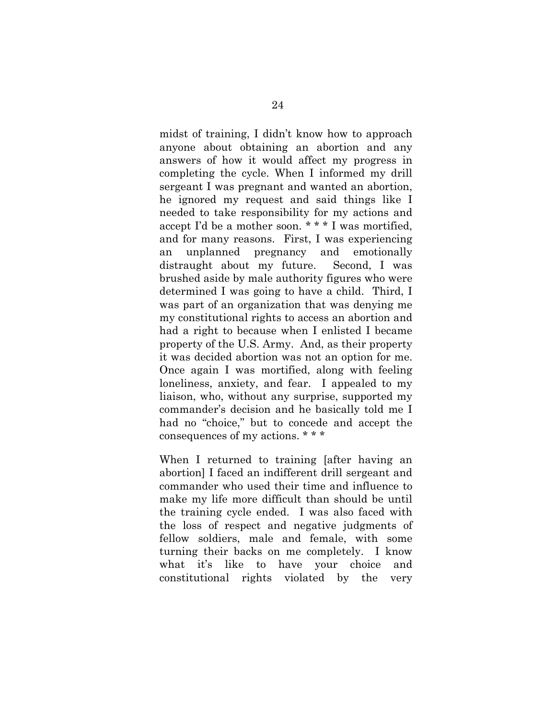midst of training, I didn't know how to approach anyone about obtaining an abortion and any answers of how it would affect my progress in completing the cycle. When I informed my drill sergeant I was pregnant and wanted an abortion, he ignored my request and said things like I needed to take responsibility for my actions and accept I'd be a mother soon. \* \* \* I was mortified, and for many reasons. First, I was experiencing an unplanned pregnancy and emotionally distraught about my future. Second, I was brushed aside by male authority figures who were determined I was going to have a child. Third, I was part of an organization that was denying me my constitutional rights to access an abortion and had a right to because when I enlisted I became property of the U.S. Army. And, as their property it was decided abortion was not an option for me. Once again I was mortified, along with feeling loneliness, anxiety, and fear. I appealed to my liaison, who, without any surprise, supported my commander's decision and he basically told me I had no "choice," but to concede and accept the consequences of my actions. \* \* \*

When I returned to training [after having an abortion] I faced an indifferent drill sergeant and commander who used their time and influence to make my life more difficult than should be until the training cycle ended. I was also faced with the loss of respect and negative judgments of fellow soldiers, male and female, with some turning their backs on me completely. I know what it's like to have your choice and constitutional rights violated by the very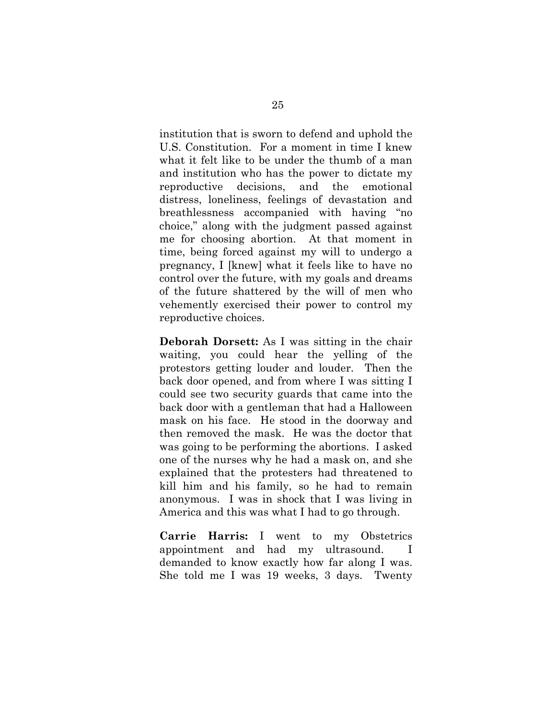institution that is sworn to defend and uphold the U.S. Constitution. For a moment in time I knew what it felt like to be under the thumb of a man and institution who has the power to dictate my reproductive decisions, and the emotional distress, loneliness, feelings of devastation and breathlessness accompanied with having "no choice," along with the judgment passed against me for choosing abortion. At that moment in time, being forced against my will to undergo a pregnancy, I [knew] what it feels like to have no control over the future, with my goals and dreams of the future shattered by the will of men who vehemently exercised their power to control my reproductive choices.

**Deborah Dorsett:** As I was sitting in the chair waiting, you could hear the yelling of the protestors getting louder and louder. Then the back door opened, and from where I was sitting I could see two security guards that came into the back door with a gentleman that had a Halloween mask on his face. He stood in the doorway and then removed the mask. He was the doctor that was going to be performing the abortions. I asked one of the nurses why he had a mask on, and she explained that the protesters had threatened to kill him and his family, so he had to remain anonymous. I was in shock that I was living in America and this was what I had to go through.

**Carrie Harris:** I went to my Obstetrics appointment and had my ultrasound. I demanded to know exactly how far along I was. She told me I was 19 weeks, 3 days. Twenty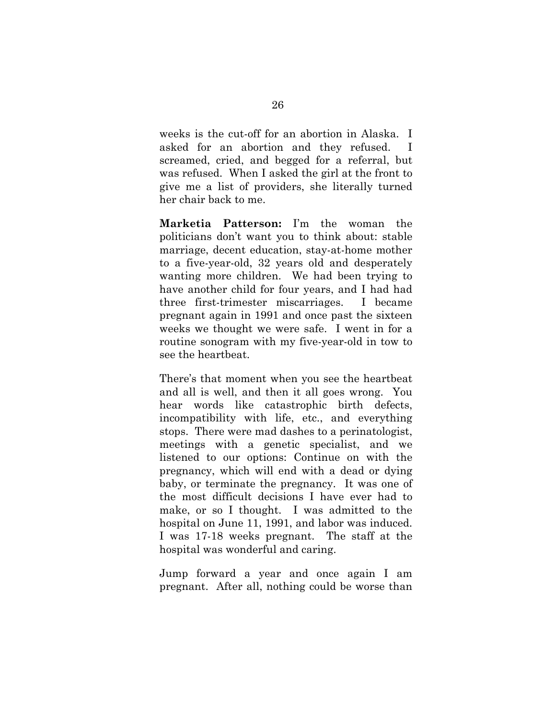weeks is the cut-off for an abortion in Alaska. I asked for an abortion and they refused. I screamed, cried, and begged for a referral, but was refused. When I asked the girl at the front to give me a list of providers, she literally turned her chair back to me.

**Marketia Patterson:** I'm the woman the politicians don't want you to think about: stable marriage, decent education, stay-at-home mother to a five-year-old, 32 years old and desperately wanting more children. We had been trying to have another child for four years, and I had had three first-trimester miscarriages. I became pregnant again in 1991 and once past the sixteen weeks we thought we were safe. I went in for a routine sonogram with my five-year-old in tow to see the heartbeat.

There's that moment when you see the heartbeat and all is well, and then it all goes wrong. You hear words like catastrophic birth defects, incompatibility with life, etc., and everything stops. There were mad dashes to a perinatologist, meetings with a genetic specialist, and we listened to our options: Continue on with the pregnancy, which will end with a dead or dying baby, or terminate the pregnancy. It was one of the most difficult decisions I have ever had to make, or so I thought. I was admitted to the hospital on June 11, 1991, and labor was induced. I was 17-18 weeks pregnant. The staff at the hospital was wonderful and caring.

Jump forward a year and once again I am pregnant. After all, nothing could be worse than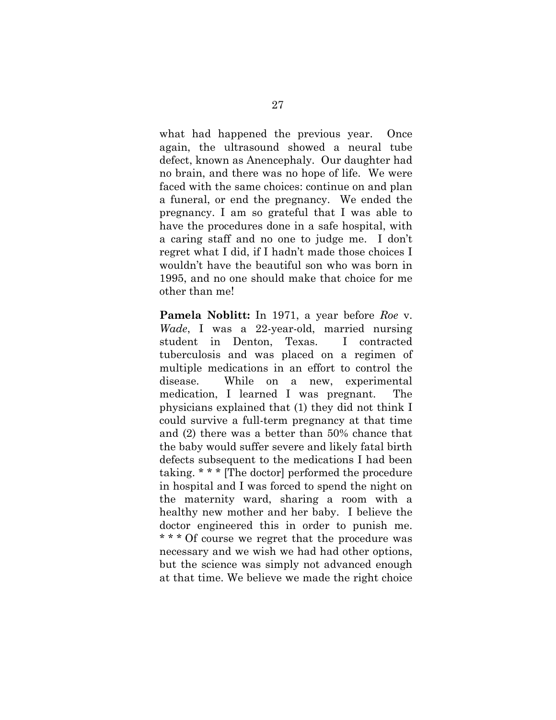what had happened the previous year. Once again, the ultrasound showed a neural tube defect, known as Anencephaly. Our daughter had no brain, and there was no hope of life. We were faced with the same choices: continue on and plan a funeral, or end the pregnancy. We ended the pregnancy. I am so grateful that I was able to have the procedures done in a safe hospital, with a caring staff and no one to judge me. I don't regret what I did, if I hadn't made those choices I wouldn't have the beautiful son who was born in 1995, and no one should make that choice for me other than me!

**Pamela Noblitt:** In 1971, a year before *Roe* v. *Wade*, I was a 22-year-old, married nursing student in Denton, Texas. I contracted tuberculosis and was placed on a regimen of multiple medications in an effort to control the disease. While on a new, experimental medication, I learned I was pregnant. The physicians explained that (1) they did not think I could survive a full-term pregnancy at that time and (2) there was a better than 50% chance that the baby would suffer severe and likely fatal birth defects subsequent to the medications I had been taking. \* \* \* [The doctor] performed the procedure in hospital and I was forced to spend the night on the maternity ward, sharing a room with a healthy new mother and her baby. I believe the doctor engineered this in order to punish me. \* \* \* Of course we regret that the procedure was necessary and we wish we had had other options, but the science was simply not advanced enough at that time. We believe we made the right choice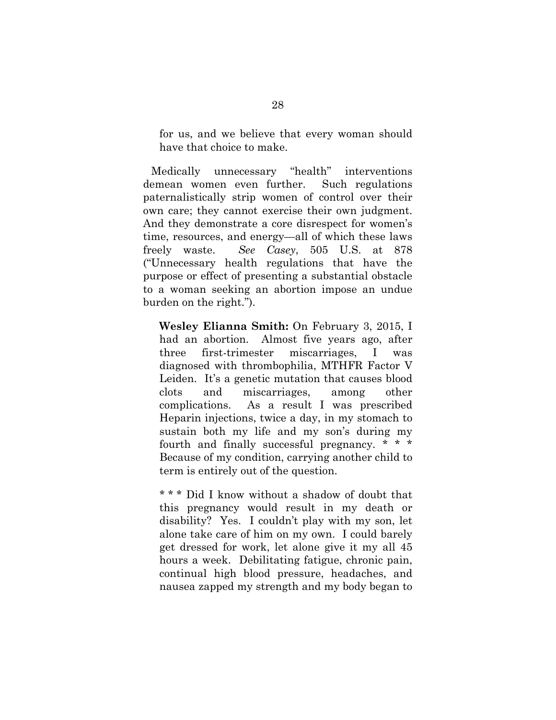for us, and we believe that every woman should have that choice to make.

 Medically unnecessary "health" interventions demean women even further. Such regulations paternalistically strip women of control over their own care; they cannot exercise their own judgment. And they demonstrate a core disrespect for women's time, resources, and energy—all of which these laws freely waste. *See Casey*, 505 U.S. at 878 ("Unnecessary health regulations that have the purpose or effect of presenting a substantial obstacle to a woman seeking an abortion impose an undue burden on the right.").

**Wesley Elianna Smith:** On February 3, 2015, I had an abortion. Almost five years ago, after three first-trimester miscarriages, I was diagnosed with thrombophilia, MTHFR Factor V Leiden. It's a genetic mutation that causes blood clots and miscarriages, among other complications. As a result I was prescribed Heparin injections, twice a day, in my stomach to sustain both my life and my son's during my fourth and finally successful pregnancy. \* \* \* Because of my condition, carrying another child to term is entirely out of the question.

\* \* \* Did I know without a shadow of doubt that this pregnancy would result in my death or disability? Yes. I couldn't play with my son, let alone take care of him on my own. I could barely get dressed for work, let alone give it my all 45 hours a week. Debilitating fatigue, chronic pain, continual high blood pressure, headaches, and nausea zapped my strength and my body began to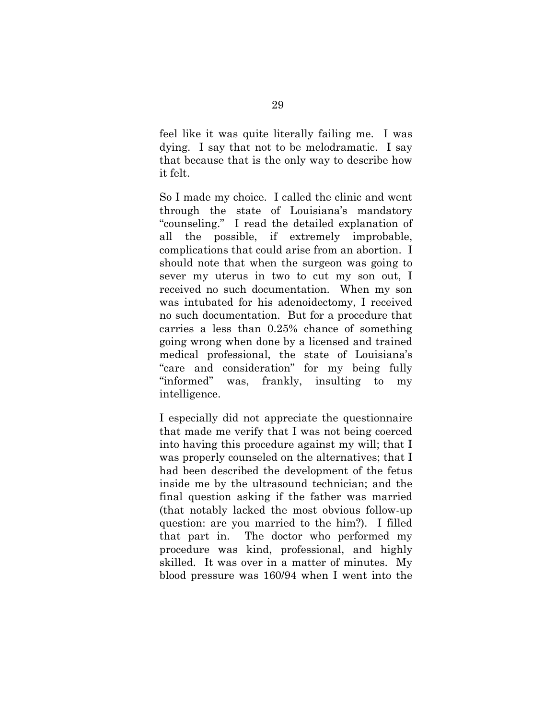feel like it was quite literally failing me. I was dying. I say that not to be melodramatic. I say that because that is the only way to describe how it felt.

So I made my choice. I called the clinic and went through the state of Louisiana's mandatory "counseling." I read the detailed explanation of all the possible, if extremely improbable, complications that could arise from an abortion. I should note that when the surgeon was going to sever my uterus in two to cut my son out, I received no such documentation. When my son was intubated for his adenoidectomy, I received no such documentation. But for a procedure that carries a less than 0.25% chance of something going wrong when done by a licensed and trained medical professional, the state of Louisiana's "care and consideration" for my being fully "informed" was, frankly, insulting to my intelligence.

I especially did not appreciate the questionnaire that made me verify that I was not being coerced into having this procedure against my will; that I was properly counseled on the alternatives; that I had been described the development of the fetus inside me by the ultrasound technician; and the final question asking if the father was married (that notably lacked the most obvious follow-up question: are you married to the him?). I filled that part in. The doctor who performed my procedure was kind, professional, and highly skilled. It was over in a matter of minutes. My blood pressure was 160/94 when I went into the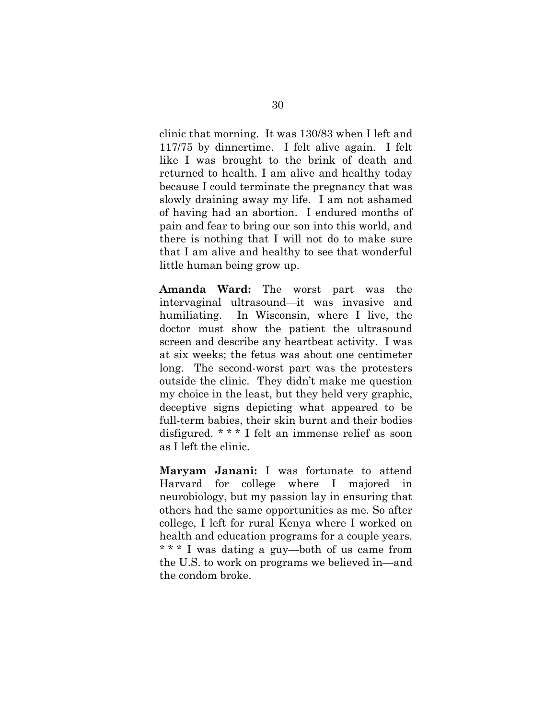clinic that morning. It was 130/83 when I left and 117/75 by dinnertime. I felt alive again. I felt like I was brought to the brink of death and returned to health. I am alive and healthy today because I could terminate the pregnancy that was slowly draining away my life. I am not ashamed of having had an abortion. I endured months of pain and fear to bring our son into this world, and there is nothing that I will not do to make sure that I am alive and healthy to see that wonderful little human being grow up.

**Amanda Ward:** The worst part was the intervaginal ultrasound—it was invasive and humiliating. In Wisconsin, where I live, the doctor must show the patient the ultrasound screen and describe any heartbeat activity. I was at six weeks; the fetus was about one centimeter long. The second-worst part was the protesters outside the clinic. They didn't make me question my choice in the least, but they held very graphic, deceptive signs depicting what appeared to be full-term babies, their skin burnt and their bodies disfigured. \* \* \* I felt an immense relief as soon as I left the clinic.

**Maryam Janani:** I was fortunate to attend Harvard for college where I majored in neurobiology, but my passion lay in ensuring that others had the same opportunities as me. So after college, I left for rural Kenya where I worked on health and education programs for a couple years. \* \* \* I was dating a guy—both of us came from the U.S. to work on programs we believed in—and the condom broke.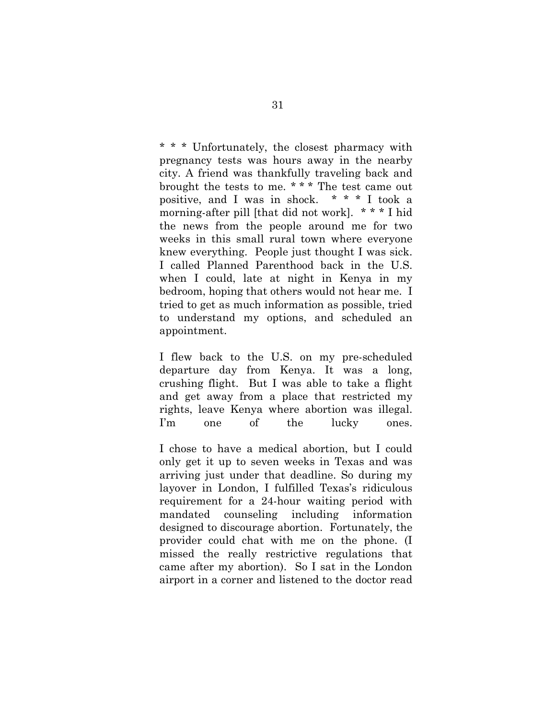\* \* \* Unfortunately, the closest pharmacy with pregnancy tests was hours away in the nearby city. A friend was thankfully traveling back and brought the tests to me. \* \* \* The test came out positive, and I was in shock. \* \* \* I took a morning-after pill [that did not work]. \* \* \* I hid the news from the people around me for two weeks in this small rural town where everyone knew everything. People just thought I was sick. I called Planned Parenthood back in the U.S. when I could, late at night in Kenya in my bedroom, hoping that others would not hear me. I tried to get as much information as possible, tried to understand my options, and scheduled an appointment.

I flew back to the U.S. on my pre-scheduled departure day from Kenya. It was a long, crushing flight. But I was able to take a flight and get away from a place that restricted my rights, leave Kenya where abortion was illegal. I'm one of the lucky ones.

I chose to have a medical abortion, but I could only get it up to seven weeks in Texas and was arriving just under that deadline. So during my layover in London, I fulfilled Texas's ridiculous requirement for a 24-hour waiting period with mandated counseling including information designed to discourage abortion. Fortunately, the provider could chat with me on the phone. (I missed the really restrictive regulations that came after my abortion). So I sat in the London airport in a corner and listened to the doctor read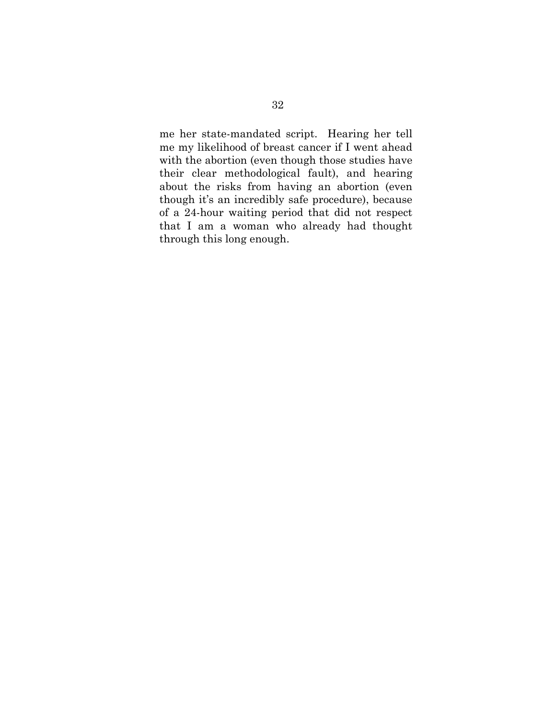me her state-mandated script. Hearing her tell me my likelihood of breast cancer if I went ahead with the abortion (even though those studies have their clear methodological fault), and hearing about the risks from having an abortion (even though it's an incredibly safe procedure), because of a 24-hour waiting period that did not respect that I am a woman who already had thought through this long enough.